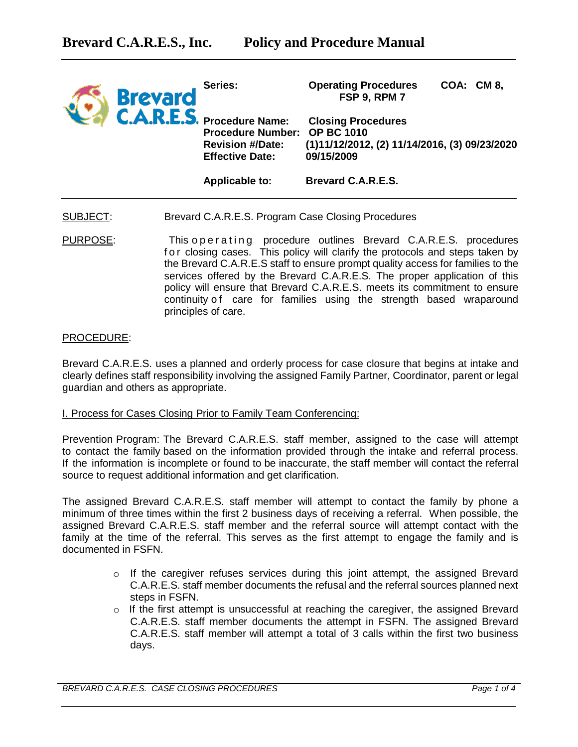| <b>Brevard</b><br>C.A.R.E.S. Procedure Name: | Series:                                                                           | <b>Operating Procedures</b><br><b>FSP 9, RPM 7</b>                                       | COA: CM 8, |
|----------------------------------------------|-----------------------------------------------------------------------------------|------------------------------------------------------------------------------------------|------------|
|                                              | Procedure Number: OP BC 1010<br><b>Revision #/Date:</b><br><b>Effective Date:</b> | <b>Closing Procedures</b><br>(1)11/12/2012, (2) 11/14/2016, (3) 09/23/2020<br>09/15/2009 |            |
|                                              | <b>Applicable to:</b>                                                             | <b>Brevard C.A.R.E.S.</b>                                                                |            |

- SUBJECT: Brevard C.A.R.E.S. Program Case Closing Procedures
- PURPOSE: This operating procedure outlines Brevard C.A.R.E.S. procedures for closing cases. This policy will clarify the protocols and steps taken by the Brevard C.A.R.E.S staff to ensure prompt quality access for families to the services offered by the Brevard C.A.R.E.S. The proper application of this policy will ensure that Brevard C.A.R.E.S. meets its commitment to ensure continuity of care for families using the strength based wraparound principles of care.

## PROCEDURE:

Brevard C.A.R.E.S. uses a planned and orderly process for case closure that begins at intake and clearly defines staff responsibility involving the assigned Family Partner, Coordinator, parent or legal guardian and others as appropriate.

#### I. Process for Cases Closing Prior to Family Team Conferencing:

Prevention Program: The Brevard C.A.R.E.S. staff member, assigned to the case will attempt to contact the family based on the information provided through the intake and referral process. If the information is incomplete or found to be inaccurate, the staff member will contact the referral source to request additional information and get clarification.

The assigned Brevard C.A.R.E.S. staff member will attempt to contact the family by phone a minimum of three times within the first 2 business days of receiving a referral. When possible, the assigned Brevard C.A.R.E.S. staff member and the referral source will attempt contact with the family at the time of the referral. This serves as the first attempt to engage the family and is documented in FSFN.

- $\circ$  If the caregiver refuses services during this joint attempt, the assigned Brevard C.A.R.E.S. staff member documents the refusal and the referral sources planned next steps in FSFN.
- $\circ$  If the first attempt is unsuccessful at reaching the caregiver, the assigned Brevard C.A.R.E.S. staff member documents the attempt in FSFN. The assigned Brevard C.A.R.E.S. staff member will attempt a total of 3 calls within the first two business days.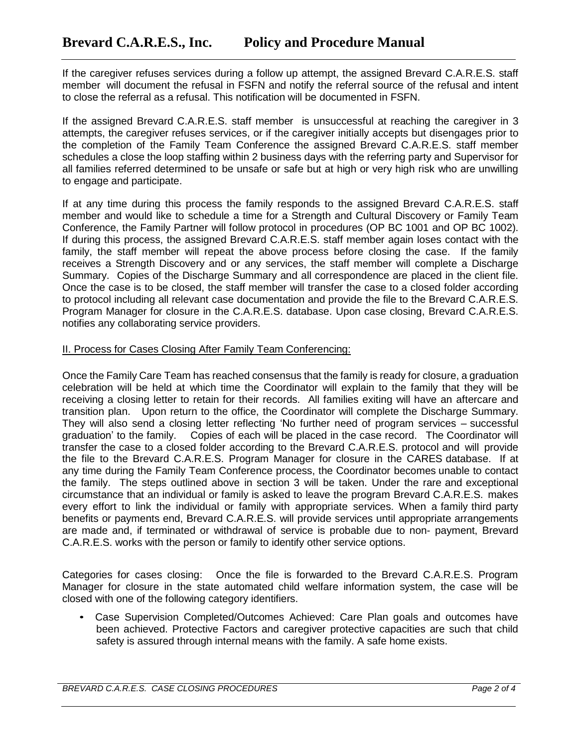If the caregiver refuses services during a follow up attempt, the assigned Brevard C.A.R.E.S. staff member will document the refusal in FSFN and notify the referral source of the refusal and intent to close the referral as a refusal. This notification will be documented in FSFN.

If the assigned Brevard C.A.R.E.S. staff member is unsuccessful at reaching the caregiver in 3 attempts, the caregiver refuses services, or if the caregiver initially accepts but disengages prior to the completion of the Family Team Conference the assigned Brevard C.A.R.E.S. staff member schedules a close the loop staffing within 2 business days with the referring party and Supervisor for all families referred determined to be unsafe or safe but at high or very high risk who are unwilling to engage and participate.

If at any time during this process the family responds to the assigned Brevard C.A.R.E.S. staff member and would like to schedule a time for a Strength and Cultural Discovery or Family Team Conference, the Family Partner will follow protocol in procedures (OP BC 1001 and OP BC 1002). If during this process, the assigned Brevard C.A.R.E.S. staff member again loses contact with the family, the staff member will repeat the above process before closing the case. If the family receives a Strength Discovery and or any services, the staff member will complete a Discharge Summary. Copies of the Discharge Summary and all correspondence are placed in the client file. Once the case is to be closed, the staff member will transfer the case to a closed folder according to protocol including all relevant case documentation and provide the file to the Brevard C.A.R.E.S. Program Manager for closure in the C.A.R.E.S. database. Upon case closing, Brevard C.A.R.E.S. notifies any collaborating service providers.

# II. Process for Cases Closing After Family Team Conferencing:

Once the Family Care Team has reached consensus that the family is ready for closure, a graduation celebration will be held at which time the Coordinator will explain to the family that they will be receiving a closing letter to retain for their records. All families exiting will have an aftercare and transition plan. Upon return to the office, the Coordinator will complete the Discharge Summary. They will also send a closing letter reflecting 'No further need of program services – successful graduation' to the family. Copies of each will be placed in the case record. The Coordinator will transfer the case to a closed folder according to the Brevard C.A.R.E.S. protocol and will provide the file to the Brevard C.A.R.E.S. Program Manager for closure in the CARES database. If at any time during the Family Team Conference process, the Coordinator becomes unable to contact the family. The steps outlined above in section 3 will be taken. Under the rare and exceptional circumstance that an individual or family is asked to leave the program Brevard C.A.R.E.S. makes every effort to link the individual or family with appropriate services. When a family third party benefits or payments end, Brevard C.A.R.E.S. will provide services until appropriate arrangements are made and, if terminated or withdrawal of service is probable due to non- payment, Brevard C.A.R.E.S. works with the person or family to identify other service options.

Categories for cases closing: Once the file is forwarded to the Brevard C.A.R.E.S. Program Manager for closure in the state automated child welfare information system, the case will be closed with one of the following category identifiers.

• Case Supervision Completed/Outcomes Achieved: Care Plan goals and outcomes have been achieved. Protective Factors and caregiver protective capacities are such that child safety is assured through internal means with the family. A safe home exists.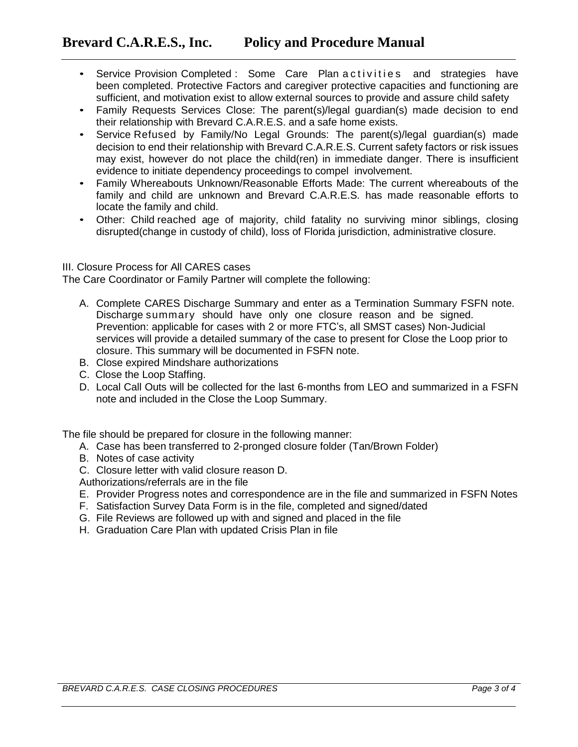- Service Provision Completed : Some Care Plan a ctivities and strategies have been completed. Protective Factors and caregiver protective capacities and functioning are sufficient, and motivation exist to allow external sources to provide and assure child safety
- Family Requests Services Close: The parent(s)/legal guardian(s) made decision to end their relationship with Brevard C.A.R.E.S. and a safe home exists.
- Service Refused by Family/No Legal Grounds: The parent(s)/legal guardian(s) made decision to end their relationship with Brevard C.A.R.E.S. Current safety factors or risk issues may exist, however do not place the child(ren) in immediate danger. There is insufficient evidence to initiate dependency proceedings to compel involvement.
- Family Whereabouts Unknown/Reasonable Efforts Made: The current whereabouts of the family and child are unknown and Brevard C.A.R.E.S. has made reasonable efforts to locate the family and child.
- Other: Child reached age of majority, child fatality no surviving minor siblings, closing disrupted(change in custody of child), loss of Florida jurisdiction, administrative closure.

## III. Closure Process for All CARES cases

The Care Coordinator or Family Partner will complete the following:

- A. Complete CARES Discharge Summary and enter as a Termination Summary FSFN note. Discharge summary should have only one closure reason and be signed. Prevention: applicable for cases with 2 or more FTC's, all SMST cases) Non-Judicial services will provide a detailed summary of the case to present for Close the Loop prior to closure. This summary will be documented in FSFN note.
- B. Close expired Mindshare authorizations
- C. Close the Loop Staffing.
- D. Local Call Outs will be collected for the last 6-months from LEO and summarized in a FSFN note and included in the Close the Loop Summary.

The file should be prepared for closure in the following manner:

- A. Case has been transferred to 2-pronged closure folder (Tan/Brown Folder)
- B. Notes of case activity
- C. Closure letter with valid closure reason D.
- Authorizations/referrals are in the file
- E. Provider Progress notes and correspondence are in the file and summarized in FSFN Notes
- F. Satisfaction Survey Data Form is in the file, completed and signed/dated
- G. File Reviews are followed up with and signed and placed in the file
- H. Graduation Care Plan with updated Crisis Plan in file